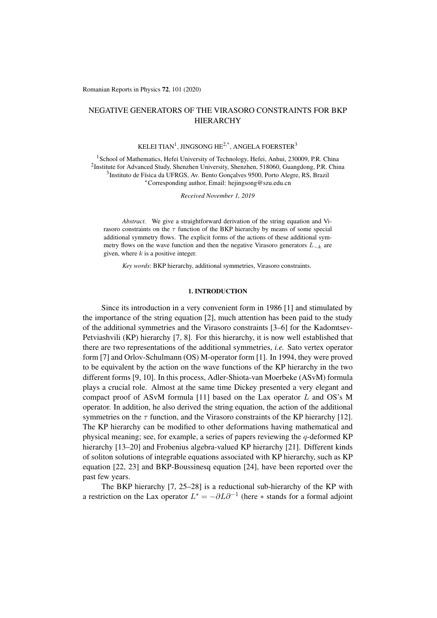Romanian Reports in Physics 72, 101 (2020)

# NEGATIVE GENERATORS OF THE VIRASORO CONSTRAINTS FOR BKP HIERARCHY

## KELEI TIAN<sup>1</sup>, JINGSONG HE<sup>2,\*</sup>, ANGELA FOERSTER<sup>3</sup>

<sup>1</sup> School of Mathematics, Hefei University of Technology, Hefei, Anhui, 230009, P.R. China <sup>2</sup>Institute for Advanced Study, Shenzhen University, Shenzhen, 518060, Guangdong, P.R. China  $3$ Instituto de Física da UFRGS, Av. Bento Goncalves 9500, Porto Alegre, RS, Brazil ⇤Corresponding author, Email: hejingsong@szu.edu.cn

*Received November 1, 2019*

*Abstract.* We give a straightforward derivation of the string equation and Virasoro constraints on the  $\tau$  function of the BKP hierarchy by means of some special additional symmetry flows. The explicit forms of the actions of these additional symmetry flows on the wave function and then the negative Virasoro generators  $L_{-k}$  are given, where *k* is a positive integer.

*Key words*: BKP hierarchy, additional symmetries, Virasoro constraints.

#### 1. INTRODUCTION

Since its introduction in a very convenient form in 1986 [1] and stimulated by the importance of the string equation [2], much attention has been paid to the study of the additional symmetries and the Virasoro constraints [3–6] for the Kadomtsev-Petviashvili (KP) hierarchy [7, 8]. For this hierarchy, it is now well established that there are two representations of the additional symmetries, *i.e.* Sato vertex operator form [7] and Orlov-Schulmann (OS) M-operator form [1]. In 1994, they were proved to be equivalent by the action on the wave functions of the KP hierarchy in the two different forms [9, 10]. In this process, Adler-Shiota-van Moerbeke (ASvM) formula plays a crucial role. Almost at the same time Dickey presented a very elegant and compact proof of ASvM formula [11] based on the Lax operator *L* and OS's M operator. In addition, he also derived the string equation, the action of the additional symmetries on the  $\tau$  function, and the Virasoro constraints of the KP hierarchy [12]. The KP hierarchy can be modified to other deformations having mathematical and physical meaning; see, for example, a series of papers reviewing the *q*-deformed KP hierarchy [13–20] and Frobenius algebra-valued KP hierarchy [21]. Different kinds of soliton solutions of integrable equations associated with KP hierarchy, such as KP equation [22, 23] and BKP-Boussinesq equation [24], have been reported over the past few years.

The BKP hierarchy [7, 25–28] is a reductional sub-hierarchy of the KP with a restriction on the Lax operator  $L^* = -\partial L \partial^{-1}$  (here  $*$  stands for a formal adjoint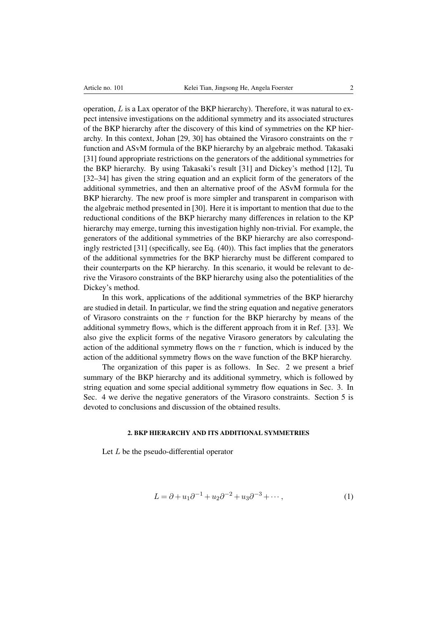operation, *L* is a Lax operator of the BKP hierarchy). Therefore, it was natural to expect intensive investigations on the additional symmetry and its associated structures of the BKP hierarchy after the discovery of this kind of symmetries on the KP hierarchy. In this context, Johan [29, 30] has obtained the Virasoro constraints on the  $\tau$ function and ASvM formula of the BKP hierarchy by an algebraic method. Takasaki [31] found appropriate restrictions on the generators of the additional symmetries for the BKP hierarchy. By using Takasaki's result [31] and Dickey's method [12], Tu [32–34] has given the string equation and an explicit form of the generators of the additional symmetries, and then an alternative proof of the ASvM formula for the BKP hierarchy. The new proof is more simpler and transparent in comparison with the algebraic method presented in [30]. Here it is important to mention that due to the reductional conditions of the BKP hierarchy many differences in relation to the KP hierarchy may emerge, turning this investigation highly non-trivial. For example, the generators of the additional symmetries of the BKP hierarchy are also correspondingly restricted [31] (specifically, see Eq. (40)). This fact implies that the generators of the additional symmetries for the BKP hierarchy must be different compared to their counterparts on the KP hierarchy. In this scenario, it would be relevant to derive the Virasoro constraints of the BKP hierarchy using also the potentialities of the Dickey's method.

In this work, applications of the additional symmetries of the BKP hierarchy are studied in detail. In particular, we find the string equation and negative generators of Virasoro constraints on the  $\tau$  function for the BKP hierarchy by means of the additional symmetry flows, which is the different approach from it in Ref. [33]. We also give the explicit forms of the negative Virasoro generators by calculating the action of the additional symmetry flows on the  $\tau$  function, which is induced by the action of the additional symmetry flows on the wave function of the BKP hierarchy.

The organization of this paper is as follows. In Sec. 2 we present a brief summary of the BKP hierarchy and its additional symmetry, which is followed by string equation and some special additional symmetry flow equations in Sec. 3. In Sec. 4 we derive the negative generators of the Virasoro constraints. Section 5 is devoted to conclusions and discussion of the obtained results.

## 2. BKP HIERARCHY AND ITS ADDITIONAL SYMMETRIES

Let *L* be the pseudo-differential operator

$$
L = \partial + u_1 \partial^{-1} + u_2 \partial^{-2} + u_3 \partial^{-3} + \cdots,
$$
 (1)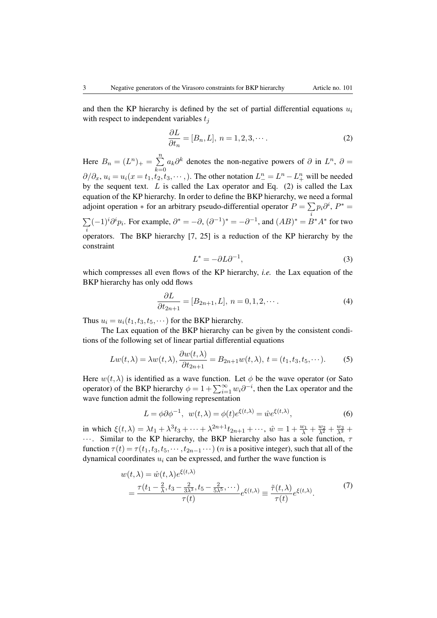and then the KP hierarchy is defined by the set of partial differential equations  $u_i$ with respect to independent variables *t<sup>j</sup>*

$$
\frac{\partial L}{\partial t_n} = [B_n, L], \ n = 1, 2, 3, \cdots.
$$
 (2)

Here  $B_n = (L^n)_+ = \sum^n$ *k*=0  $a_k \partial^k$  denotes the non-negative powers of  $\partial$  in  $L^n$ ,  $\partial$  =  $\partial/\partial_x$ ,  $u_i = u_i(x = t_1, t_2, t_3, \cdots)$ . The other notation  $L_1^n = L^n - L_+^n$  will be needed by the sequent text. *L* is called the Lax operator and Eq. (2) is called the Lax equation of the KP hierarchy. In order to define the BKP hierarchy, we need a formal adjoint operation  $*$  for an arbitrary pseudo-differential operator  $P = \sum p_i \partial^i$ ,  $P^* =$  $\sum (-1)^i \partial^i p_i$ . For example,  $\partial^* = -\partial$ ,  $(\partial^{-1})^* = -\partial^{-1}$ , and  $(AB)^* = \overline{B}$  $\sum_{i} (-1)^{i} \partial^{i} p_{i}$ . For example,  $\partial^{*} = -\partial$ ,  $(\partial^{-1})^{*} = -\partial^{-1}$ , and  $(AB)^{*} = B^{*}A^{*}$  for two operators. The BKP hierarchy [7, 25] is a reduction of the KP hierarchy by the constraint

$$
L^* = -\partial L \partial^{-1},\tag{3}
$$

which compresses all even flows of the KP hierarchy, *i.e.* the Lax equation of the BKP hierarchy has only odd flows

$$
\frac{\partial L}{\partial t_{2n+1}} = [B_{2n+1}, L], \ n = 0, 1, 2, \cdots.
$$
 (4)

Thus  $u_i = u_i(t_1, t_3, t_5, \cdots)$  for the BKP hierarchy.

The Lax equation of the BKP hierarchy can be given by the consistent conditions of the following set of linear partial differential equations

$$
Lw(t,\lambda) = \lambda w(t,\lambda), \frac{\partial w(t,\lambda)}{\partial t_{2n+1}} = B_{2n+1}w(t,\lambda), \ t = (t_1, t_3, t_5, \cdots). \tag{5}
$$

Here  $w(t, \lambda)$  is identified as a wave function. Let  $\phi$  be the wave operator (or Sato operator) of the BKP hierarchy  $\phi = 1 + \sum_{i=1}^{\infty} w_i \partial^{-i}$ , then the Lax operator and the wave function admit the following representation

$$
L = \phi \partial \phi^{-1}, \ w(t, \lambda) = \phi(t)e^{\xi(t, \lambda)} = \hat{w}e^{\xi(t, \lambda)}, \tag{6}
$$

in which  $\xi(t,\lambda) = \lambda t_1 + \lambda^3 t_3 + \cdots + \lambda^{2n+1} t_{2n+1} + \cdots$ ,  $\hat{w} = 1 + \frac{w_1}{\lambda} + \frac{w_2}{\lambda^2} + \frac{w_3}{\lambda^3} + \cdots$  $\cdots$ . Similar to the KP hierarchy, the BKP hierarchy also has a sole function,  $\tau$ function  $\tau(t) = \tau(t_1, t_3, t_5, \dots, t_{2n-1} \dots)$  (*n* is a positive integer), such that all of the dynamical coordinates *u<sup>i</sup>* can be expressed, and further the wave function is

$$
w(t,\lambda) = \hat{w}(t,\lambda)e^{\xi(t,\lambda)}
$$
  
= 
$$
\frac{\tau(t_1 - \frac{2}{\lambda}, t_3 - \frac{2}{3\lambda^3}, t_5 - \frac{2}{5\lambda^5}, \cdots)}{\tau(t)} e^{\xi(t,\lambda)} \equiv \frac{\tilde{\tau}(t,\lambda)}{\tau(t)} e^{\xi(t,\lambda)}.
$$
 (7)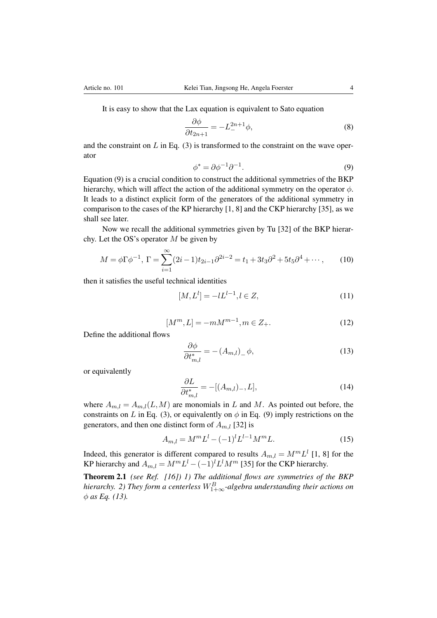It is easy to show that the Lax equation is equivalent to Sato equation

$$
\frac{\partial \phi}{\partial t_{2n+1}} = -L_{-}^{2n+1} \phi,
$$
\n(8)

and the constraint on *L* in Eq. (3) is transformed to the constraint on the wave operator

$$
\phi^* = \partial \phi^{-1} \partial^{-1}.
$$
\n(9)

Equation (9) is a crucial condition to construct the additional symmetries of the BKP hierarchy, which will affect the action of the additional symmetry on the operator  $\phi$ . It leads to a distinct explicit form of the generators of the additional symmetry in comparison to the cases of the KP hierarchy [1, 8] and the CKP hierarchy [35], as we shall see later.

Now we recall the additional symmetries given by Tu [32] of the BKP hierarchy. Let the OS's operator *M* be given by

$$
M = \phi \Gamma \phi^{-1}, \ \Gamma = \sum_{i=1}^{\infty} (2i - 1)t_{2i - 1} \partial^{2i - 2} = t_1 + 3t_3 \partial^2 + 5t_5 \partial^4 + \cdots,
$$
 (10)

then it satisfies the useful technical identities

$$
[M, Ll] = -lLl-1, l \in Z,
$$
\n(11)

$$
[M^m, L] = -mM^{m-1}, m \in Z_+.
$$
 (12)

Define the additional flows

$$
\frac{\partial \phi}{\partial t_{m,l}^*} = -(A_{m,l})_{\perp} \phi,\tag{13}
$$

or equivalently

$$
\frac{\partial L}{\partial t_{m,l}^*} = -[(A_{m,l})_-, L],\tag{14}
$$

where  $A_{m,l} = A_{m,l}(L,M)$  are monomials in *L* and *M*. As pointed out before, the constraints on *L* in Eq. (3), or equivalently on  $\phi$  in Eq. (9) imply restrictions on the generators, and then one distinct form of  $A_{m,l}$  [32] is

$$
A_{m,l} = M^m L^l - (-1)^l L^{l-1} M^m L.
$$
\n(15)

Indeed, this generator is different compared to results  $A_{m,l} = M^m L^l$  [1, 8] for the KP hierarchy and  $A_{m,l} = M^m L^l - (-1)^l L^l M^m$  [35] for the CKP hierarchy.

Theorem 2.1 *(see Ref. [16]) 1) The additional flows are symmetries of the BKP hierarchy. 2) They form a centerless W<sup>B</sup>* 1+1*-algebra understanding their actions on as Eq. (13).*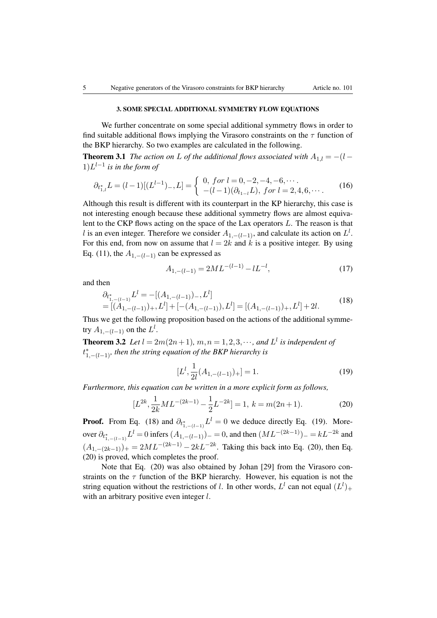#### 3. SOME SPECIAL ADDITIONAL SYMMETRY FLOW EQUATIONS

We further concentrate on some special additional symmetry flows in order to find suitable additional flows implying the Virasoro constraints on the  $\tau$  function of the BKP hierarchy. So two examples are calculated in the following.

**Theorem 3.1** *The action on L of the additional flows associated with*  $A_{1,l} = -(l 1)L^{l-1}$  *is in the form of* 

$$
\partial_{t_{1,l}^*} L = (l-1)[(L^{l-1})_-, L] = \begin{cases} 0, \text{ for } l = 0, -2, -4, -6, \cdots \\ -(l-1)(\partial_{t_{1-l}} L), \text{ for } l = 2, 4, 6, \cdots. \end{cases} (16)
$$

Although this result is different with its counterpart in the KP hierarchy, this case is not interesting enough because these additional symmetry flows are almost equivalent to the CKP flows acting on the space of the Lax operators *L*. The reason is that *l* is an even integer. Therefore we consider  $A_{1,-(l-1)}$ , and calculate its action on  $L^l$ . For this end, from now on assume that  $l = 2k$  and k is a positive integer. By using Eq. (11), the  $A_{1,-(l-1)}$  can be expressed as

$$
A_{1,-(l-1)} = 2ML^{-(l-1)} - lL^{-l},\tag{17}
$$

and then

$$
\partial_{t_{1,-(l-1)}^*} L^l = -[(A_{1,-(l-1)})_-, L^l]
$$
  
= [(A\_{1,-(l-1)})\_+, L^l] + [-(A\_{1,-(l-1)})\_+, L^l] = [(A\_{1,-(l-1)})\_+, L^l] + 2l. (18)

Thus we get the following proposition based on the actions of the additional symmetry  $A_{1,-(l-1)}$  on the  $L^l$ .

**Theorem 3.2** *Let*  $l = 2m(2n+1)$ *,*  $m, n = 1, 2, 3, \cdots$ *, and*  $L^l$  *is independent of*  $t_{1,-(l-1)}^{*}$ , then the string equation of the BKP hierarchy is

$$
[L^l, \frac{1}{2l}(A_{1, -(l-1)})_+] = 1.
$$
 (19)

*Furthermore, this equation can be written in a more explicit form as follows,*

$$
[L^{2k}, \frac{1}{2k}ML^{-(2k-1)} - \frac{1}{2}L^{-2k}] = 1, k = m(2n+1).
$$
 (20)

**Proof.** From Eq. (18) and  $\partial_{t_{1}^{*}}$   $\mathcal{U}^{l} = 0$  we deduce directly Eq. (19). More- $1,-(l-1)$ over  $\partial_{t_{1,-(l-1)}^*} L^l = 0$  infers  $(A_{1,-(l-1)})_+ = 0$ , and then  $(ML^{-(2k-1)})_- = kL^{-2k}$  and  $(A_{1,-(2k-1)})_+ = 2ML^{-(2k-1)} - 2kL^{-2k}$ . Taking this back into Eq. (20), then Eq. (20) is proved, which completes the proof.

Note that Eq. (20) was also obtained by Johan [29] from the Virasoro constraints on the  $\tau$  function of the BKP hierarchy. However, his equation is not the string equation without the restrictions of *l*. In other words,  $L^l$  can not equal  $(L^l)_+$ with an arbitrary positive even integer *l*.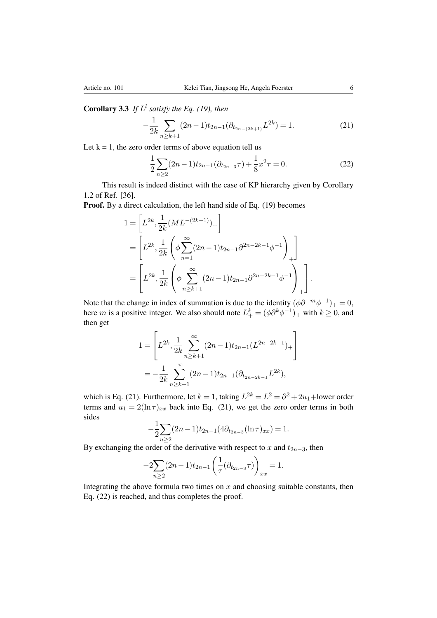**Corollary 3.3** *If*  $L^l$  *satisfy the Eq. (19), then* 

$$
-\frac{1}{2k} \sum_{n \ge k+1} (2n-1)t_{2n-1} (\partial_{t_{2n-(2k+1)}} L^{2k}) = 1.
$$
 (21)

Let  $k = 1$ , the zero order terms of above equation tell us

$$
\frac{1}{2} \sum_{n \ge 2} (2n - 1)t_{2n - 1} (\partial_{t_{2n - 3}} \tau) + \frac{1}{8} x^2 \tau = 0.
$$
 (22)

This result is indeed distinct with the case of KP hierarchy given by Corollary 1.2 of Ref. [36].

Proof. By a direct calculation, the left hand side of Eq. (19) becomes

$$
1 = \left[ L^{2k}, \frac{1}{2k} (ML^{-(2k-1)})_+ \right]
$$
  
= 
$$
\left[ L^{2k}, \frac{1}{2k} \left( \phi \sum_{n=1}^{\infty} (2n-1) t_{2n-1} \partial^{2n-2k-1} \phi^{-1} \right)_+ \right]
$$
  
= 
$$
\left[ L^{2k}, \frac{1}{2k} \left( \phi \sum_{n \ge k+1}^{\infty} (2n-1) t_{2n-1} \partial^{2n-2k-1} \phi^{-1} \right)_+ \right].
$$

Note that the change in index of summation is due to the identity  $(\phi \partial^{-m} \phi^{-1})_+ = 0$ , here *m* is a positive integer. We also should note  $L^k_+ = (\phi \partial^k \phi^{-1})_+$  with  $k \ge 0$ , and then get

$$
1 = \left[ L^{2k}, \frac{1}{2k} \sum_{n \geq k+1}^{\infty} (2n-1)t_{2n-1} (L^{2n-2k-1})_{+} \right]
$$
  
= 
$$
-\frac{1}{2k} \sum_{n \geq k+1}^{\infty} (2n-1)t_{2n-1} (\partial_{t_{2n-2k-1}} L^{2k}),
$$

which is Eq. (21). Furthermore, let  $k = 1$ , taking  $L^{2k} = L^2 = \partial^2 + 2u_1 +$ lower order terms and  $u_1 = 2(\ln \tau)_{xx}$  back into Eq. (21), we get the zero order terms in both sides

$$
-\frac{1}{2}\sum_{n\geq 2}(2n-1)t_{2n-1}(4\partial_{t_{2n-3}}(\ln \tau)_{xx})=1.
$$

By exchanging the order of the derivative with respect to  $x$  and  $t_{2n-3}$ , then

$$
-2\sum_{n\geq 2}(2n-1)t_{2n-1}\left(\frac{1}{\tau}(\partial_{t_{2n-3}}\tau)\right)_{xx}=1.
$$

Integrating the above formula two times on  $x$  and choosing suitable constants, then Eq. (22) is reached, and thus completes the proof.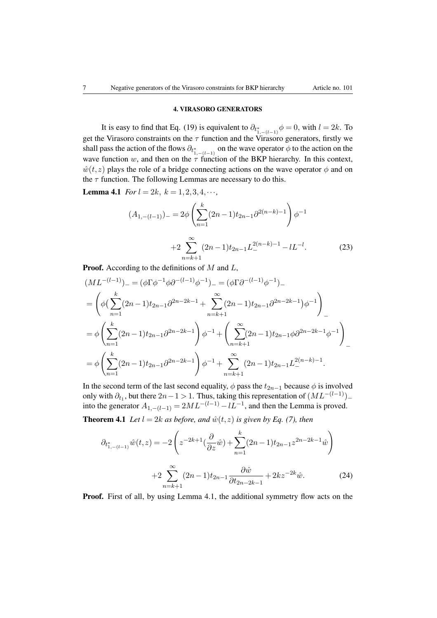### 4. VIRASORO GENERATORS

It is easy to find that Eq. (19) is equivalent to  $\partial_{t^*_{1,-(l-1)}} \phi = 0$ , with  $l = 2k$ . To get the Virasoro constraints on the  $\tau$  function and the Virasoro generators, firstly we shall pass the action of the flows  $\partial_{t_{1,-(l-1)}^*}$  on the wave operator  $\phi$  to the action on the wave function  $w$ , and then on the  $\tau$  function of the BKP hierarchy. In this context,  $\hat{w}(t, z)$  plays the role of a bridge connecting actions on the wave operator  $\phi$  and on the  $\tau$  function. The following Lemmas are necessary to do this.

**Lemma 4.1** *For*  $l = 2k$ ,  $k = 1, 2, 3, 4, \cdots$ ,

$$
(A_{1,-(l-1)})_{-} = 2\phi \left(\sum_{n=1}^{k} (2n-1)t_{2n-1}\partial^{2(n-k)-1}\right)\phi^{-1}
$$

$$
+2\sum_{n=k+1}^{\infty} (2n-1)t_{2n-1}L_{-}^{2(n-k)-1} - lL_{-}^{l}.
$$
 (23)

Proof. According to the definitions of *M* and *L*,

$$
(ML^{-(l-1)})_{-} = (\phi \Gamma \phi^{-1} \phi \partial^{-(l-1)} \phi^{-1})_{-} = (\phi \Gamma \partial^{-(l-1)} \phi^{-1})_{-}
$$
  
\n
$$
= \left( \phi \left( \sum_{n=1}^{k} (2n-1)t_{2n-1} \partial^{2n-2k-1} + \sum_{n=k+1}^{\infty} (2n-1)t_{2n-1} \partial^{2n-2k-1} \right) \phi^{-1} \right)_{-}
$$
  
\n
$$
= \phi \left( \sum_{n=1}^{k} (2n-1)t_{2n-1} \partial^{2n-2k-1} \right) \phi^{-1} + \left( \sum_{n=k+1}^{\infty} (2n-1)t_{2n-1} \phi \partial^{2n-2k-1} \phi^{-1} \right)_{-}
$$
  
\n
$$
= \phi \left( \sum_{n=1}^{k} (2n-1)t_{2n-1} \partial^{2n-2k-1} \right) \phi^{-1} + \sum_{n=k+1}^{\infty} (2n-1)t_{2n-1} L_{-}^{2(n-k)-1}.
$$

In the second term of the last second equality,  $\phi$  pass the  $t_{2n-1}$  because  $\phi$  is involved only with  $\partial_{t_1}$ , but there  $2n-1 > 1$ . Thus, taking this representation of  $(ML^{-(l-1)})$ into the generator  $A_{1,-(l-1)} = 2ML^{-(l-1)} - lL^{-1}$ , and then the Lemma is proved.

**Theorem 4.1** *Let*  $l = 2k$  *as before, and*  $\hat{w}(t, z)$  *is given by Eq.* (7), *then* 

$$
\partial_{t_{1,-(l-1)}^*}\hat{w}(t,z) = -2\left(z^{-2k+1}\left(\frac{\partial}{\partial z}\hat{w}\right) + \sum_{n=1}^k (2n-1)t_{2n-1}z^{2n-2k-1}\hat{w}\right)
$$

$$
+2\sum_{n=k+1}^\infty (2n-1)t_{2n-1}\frac{\partial \hat{w}}{\partial t_{2n-2k-1}} + 2kz^{-2k}\hat{w}.\tag{24}
$$

Proof. First of all, by using Lemma 4.1, the additional symmetry flow acts on the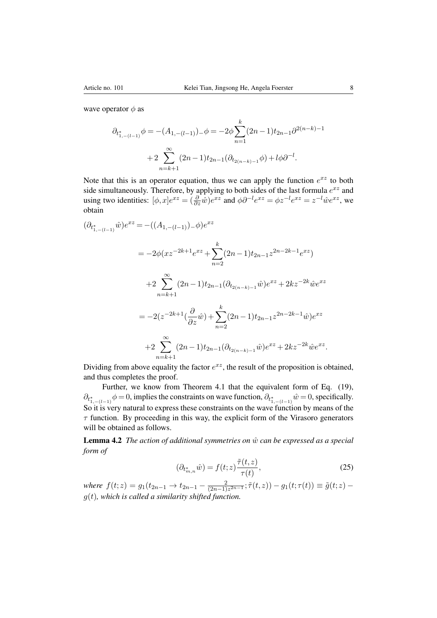wave operator  $\phi$  as

$$
\partial_{t_{1,-(l-1)}^*} \phi = -(A_{1,-(l-1)})_- \phi = -2\phi \sum_{n=1}^k (2n-1)t_{2n-1} \partial^{2(n-k)-1}
$$

$$
+ 2\sum_{n=k+1}^\infty (2n-1)t_{2n-1} (\partial_{t_{2(n-k)-1}} \phi) + l\phi \partial^{-l}.
$$

Note that this is an operator equation, thus we can apply the function  $e^{xz}$  to both side simultaneously. Therefore, by applying to both sides of the last formula *exz* and using two identities:  $[\phi, x]e^{xz} = (\frac{\partial}{\partial z}\hat{w})e^{xz}$  and  $\phi\partial^{-l}e^{xz} = \phi z^{-l}e^{xz} = z^{-l}\hat{w}e^{xz}$ , we obtain

$$
(\partial_{t_{1,-(l-1)}^*}\hat{w})e^{xz} = -((A_{1,-(l-1)}) - \phi)e^{xz}
$$
  

$$
= -2\phi(xz^{-2k+1}e^{xz} + \sum_{n=2}^k (2n-1)t_{2n-1}z^{2n-2k-1}e^{xz})
$$
  

$$
+2\sum_{n=k+1}^\infty (2n-1)t_{2n-1}(\partial_{t_{2(n-k)-1}}\hat{w})e^{xz} + 2kz^{-2k}\hat{w}e^{xz}
$$
  

$$
= -2(z^{-2k+1}(\frac{\partial}{\partial z}\hat{w}) + \sum_{n=2}^k (2n-1)t_{2n-1}z^{2n-2k-1}\hat{w})e^{xz}
$$
  

$$
+2\sum_{n=k+1}^\infty (2n-1)t_{2n-1}(\partial_{t_{2(n-k)-1}}\hat{w})e^{xz} + 2kz^{-2k}\hat{w}e^{xz}.
$$

Dividing from above equality the factor  $e^{xz}$ , the result of the proposition is obtained, and thus completes the proof.

Further, we know from Theorem 4.1 that the equivalent form of Eq. (19),  $\partial_{t_{1,-(l-1)}^*}\phi = 0$ , implies the constraints on wave function,  $\partial_{t_{1,-(l-1)}^*}\hat{w} = 0$ , specifically. So it is very natural to express these constraints on the wave function by means of the  $\tau$  function. By proceeding in this way, the explicit form of the Virasoro generators will be obtained as follows.

**Lemma 4.2** *The action of additional symmetries on*  $\hat{w}$  *can be expressed as a special form of*

$$
(\partial_{t_{m,n}^*}\hat{w}) = f(t;z)\frac{\tilde{\tau}(t,z)}{\tau(t)},\tag{25}
$$

 $where \ f(t; z) = g_1(t_{2n-1} \to t_{2n-1} - \frac{2}{(2n-1)z^{2n-1}}; \tilde{\tau}(t, z)) - g_1(t; \tau(t)) \equiv \tilde{g}(t; z) - \tilde{g}(t; z)$ *g*(*t*)*, which is called a similarity shifted function.*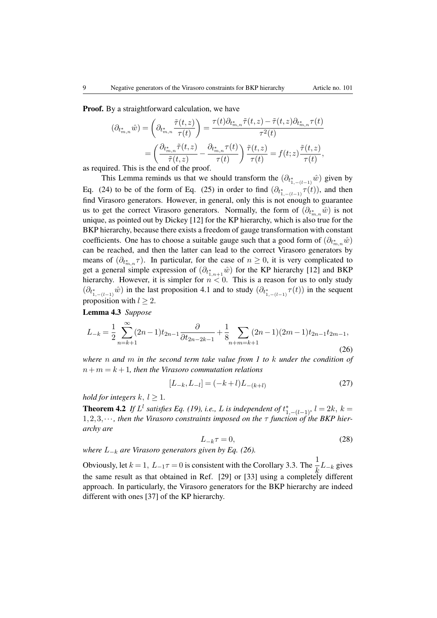Proof. By a straightforward calculation, we have

$$
(\partial_{t_{m,n}^*}\hat{w}) = \left(\partial_{t_{m,n}^*}\frac{\tilde{\tau}(t,z)}{\tau(t)}\right) = \frac{\tau(t)\partial_{t_{m,n}^*}\tilde{\tau}(t,z) - \tilde{\tau}(t,z)\partial_{t_{m,n}^*}\tau(t)}{\tau^2(t)}
$$

$$
= \left(\frac{\partial_{t_{m,n}^*}\tilde{\tau}(t,z)}{\tilde{\tau}(t,z)} - \frac{\partial_{t_{m,n}^*}\tau(t)}{\tau(t)}\right)\frac{\tilde{\tau}(t,z)}{\tau(t)} = f(t,z)\frac{\tilde{\tau}(t,z)}{\tau(t)},
$$

as required. This is the end of the proof.

This Lemma reminds us that we should transform the  $(\partial_{t^*_{1,-(l-1)}}\hat{w})$  given by Eq. (24) to be of the form of Eq. (25) in order to find  $(\partial_{t^*_{1,-(l-1)}} \tau(t))$ , and then find Virasoro generators. However, in general, only this is not enough to guarantee us to get the correct Virasoro generators. Normally, the form of  $(\partial_{t_{m,n}^*}\hat{w})$  is not unique, as pointed out by Dickey [12] for the KP hierarchy, which is also true for the BKP hierarchy, because there exists a freedom of gauge transformation with constant coefficients. One has to choose a suitable gauge such that a good form of  $(\partial_{t_{m,n}^*}\hat{w})$ can be reached, and then the latter can lead to the correct Virasoro generators by means of  $(\partial_{t_{m,n}^*}\tau)$ . In particular, for the case of  $n \geq 0$ , it is very complicated to get a general simple expression of  $(\partial_{t_{1,n+1}^*}\hat{w})$  for the KP hierarchy [12] and BKP hierarchy. However, it is simpler for  $n < 0$ . This is a reason for us to only study  $(\partial_{t_{1,-(l-1)}^*}\hat{w})$  in the last proposition 4.1 and to study  $(\partial_{t_{1,-(l-1)}^*}\tau(t))$  in the sequent proposition with  $l \geq 2$ .

Lemma 4.3 *Suppose*

$$
L_{-k} = \frac{1}{2} \sum_{n=k+1}^{\infty} (2n-1)t_{2n-1} \frac{\partial}{\partial t_{2n-2k-1}} + \frac{1}{8} \sum_{n+m=k+1} (2n-1)(2m-1)t_{2n-1}t_{2m-1},
$$
\n(26)

*where n and m in the second term take value from 1 to k under the condition of*  $n+m = k+1$ , then the Virasoro commutation relations

$$
[L_{-k}, L_{-l}] = (-k+l)L_{-(k+l)}
$$
\n(27)

*hold for integers*  $k, l > 1$ .

**Theorem 4.2** *If*  $L^l$  *satisfies Eq.* (19), *i.e.*, *L is independent of*  $t^*_{1,-(l-1)}, l = 2k, k =$  $1, 2, 3, \cdots$ , then the Virasoro constraints imposed on the  $\tau$  function of the BKP hier*archy are*

$$
L_{-k}\tau = 0,\t\t(28)
$$

*where*  $L_{-k}$  *are Virasoro generators given by Eq.* (26).

Obviously, let  $k = 1$ ,  $L_{-1}\tau = 0$  is consistent with the Corollary 3.3. The  $\frac{1}{k}L_{-k}$  gives *k* the same result as that obtained in Ref. [29] or [33] using a completely different approach. In particularly, the Virasoro generators for the BKP hierarchy are indeed different with ones [37] of the KP hierarchy.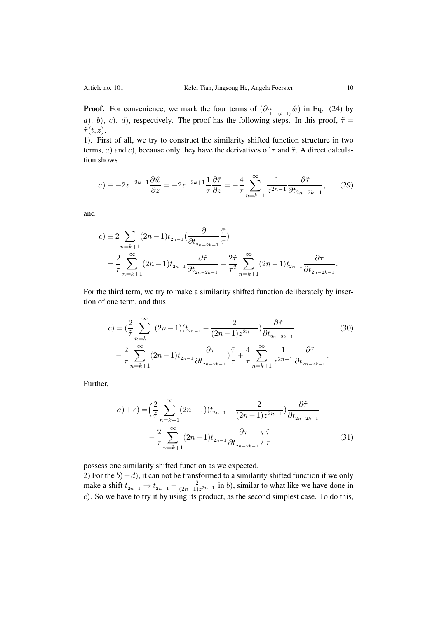**Proof.** For convenience, we mark the four terms of  $(\partial_{t_{1,-(l-1)}^*}\hat{w})$  in Eq. (24) by *a*)*, b*)*, c*)*, d*), respectively. The proof has the following steps. In this proof,  $\tilde{\tau} =$  $\tilde{\tau}(t,z)$ .

1). First of all, we try to construct the similarity shifted function structure in two terms, *a*) and *c*), because only they have the derivatives of  $\tau$  and  $\tilde{\tau}$ . A direct calculation shows

$$
a) \equiv -2z^{-2k+1}\frac{\partial \hat{w}}{\partial z} = -2z^{-2k+1}\frac{1}{\tau}\frac{\partial \tilde{\tau}}{\partial z} = -\frac{4}{\tau}\sum_{n=k+1}^{\infty}\frac{1}{z^{2n-1}}\frac{\partial \tilde{\tau}}{\partial t_{2n-2k-1}},\qquad(29)
$$

and

$$
c) \equiv 2 \sum_{n=k+1} (2n-1)t_{2n-1} \left(\frac{\partial}{\partial t_{2n-2k-1}} \frac{\tilde{\tau}}{\tau}\right)
$$
  
=  $\frac{2}{\tau} \sum_{n=k+1}^{\infty} (2n-1)t_{2n-1} \frac{\partial \tilde{\tau}}{\partial t_{2n-2k-1}} - \frac{2\tilde{\tau}}{\tau^2} \sum_{n=k+1}^{\infty} (2n-1)t_{2n-1} \frac{\partial \tau}{\partial t_{2n-2k-1}}.$ 

For the third term, we try to make a similarity shifted function deliberately by insertion of one term, and thus

$$
c) = \left(\frac{2}{\tilde{\tau}} \sum_{n=k+1}^{\infty} (2n-1)(t_{2n-1} - \frac{2}{(2n-1)z^{2n-1}}) \frac{\partial \tilde{\tau}}{\partial t_{2n-2k-1}} - \frac{2}{\tau} \sum_{n=k+1}^{\infty} (2n-1)t_{2n-1} \frac{\partial \tau}{\partial t_{2n-2k-1}}\right) \frac{\tilde{\tau}}{\tau} + \frac{4}{\tau} \sum_{n=k+1}^{\infty} \frac{1}{z^{2n-1}} \frac{\partial \tilde{\tau}}{\partial t_{2n-2k-1}}.
$$
 (30)

Further,

$$
a) + c) = \left(\frac{2}{\tilde{\tau}} \sum_{n=k+1}^{\infty} (2n-1)(t_{2n-1} - \frac{2}{(2n-1)z^{2n-1}}) \frac{\partial \tilde{\tau}}{\partial t_{2n-2k-1}} - \frac{2}{\tau} \sum_{n=k+1}^{\infty} (2n-1)t_{2n-1} \frac{\partial \tau}{\partial t_{2n-2k-1}}\right) \frac{\tilde{\tau}}{\tau}
$$
(31)

possess one similarity shifted function as we expected.

2) For the  $b$  $+ d$ ), it can not be transformed to a similarity shifted function if we only make a shift  $t_{2n-1} \rightarrow t_{2n-1} - \frac{2}{(2n-1)z^{2n-1}}$  in *b*), similar to what like we have done in *c*). So we have to try it by using its product, as the second simplest case. To do this,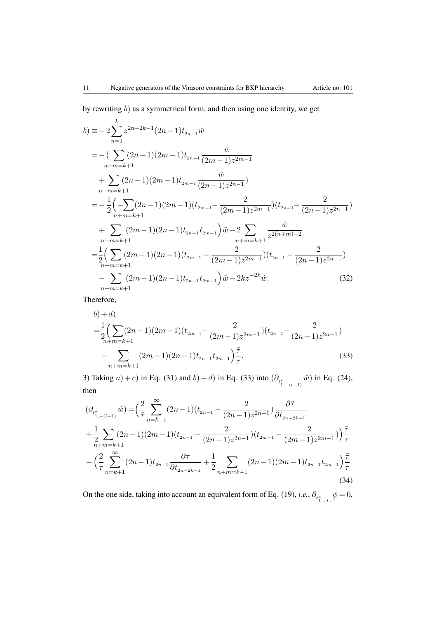by rewriting *b*) as a symmetrical form, and then using one identity, we get

$$
b) \equiv -2\sum_{n=1}^{k} z^{2n-2k-1} (2n-1)t_{2n-1} \hat{w}
$$
  
\n
$$
= -\left(\sum_{n+m=k+1} (2n-1)(2m-1)t_{2n-1} \frac{\hat{w}}{(2m-1)z^{2m-1}}\right)
$$
  
\n
$$
+ \sum_{n+m=k+1} (2n-1)(2m-1)t_{2m-1} \frac{\hat{w}}{(2n-1)z^{2n-1}})
$$
  
\n
$$
= -\frac{1}{2} \left(-\sum_{n+m=k+1} (2n-1)(2m-1)(t_{2m-1} - \frac{2}{(2m-1)z^{2m-1}})(t_{2n-1} - \frac{2}{(2n-1)z^{2n-1}})\right)
$$
  
\n
$$
+ \sum_{n+m=k+1} (2m-1)(2n-1)t_{2n-1}t_{2m-1}\right) \hat{w} - 2\sum_{n+m=k+1} \frac{\hat{w}}{z^{2(n+m)-2}}
$$
  
\n
$$
= \frac{1}{2} \left(\sum_{n+m=k+1} (2m-1)(2n-1)(t_{2m-1} - \frac{2}{(2m-1)z^{2m-1}})(t_{2n-1} - \frac{2}{(2n-1)z^{2n-1}})\right)
$$
  
\n
$$
- \sum_{n+m=k+1} (2m-1)(2n-1)t_{2n-1}t_{2m-1}\right) \hat{w} - 2kz^{-2k}\hat{w}.
$$
 (32)

Therefore,

$$
b) + d)
$$
  
\n
$$
= \frac{1}{2} \Big( \sum_{n+m=k+1} (2n-1)(2m-1)(t_{2m-1} - \frac{2}{(2m-1)z^{2m-1}})(t_{2n-1} - \frac{2}{(2n-1)z^{2n-1}}) - \sum_{n+m=k+1} (2m-1)(2n-1)t_{2n-1}t_{2m-1} \Big) \frac{\tilde{\tau}}{\tau}.
$$
\n(33)

3) Taking *a*) + *c*) in Eq. (31) and *b*) + *d*) in Eq. (33) into  $(\partial_{t_{1,-(l-1)}^*}$ *w*ˆ) in Eq. (24), then

$$
(\partial_{t_{1,-(l-1)}^*}\hat{w}) = \left(\frac{2}{\tilde{\tau}}\sum_{n=k+1}^\infty (2n-1)(t_{2n-1} - \frac{2}{(2n-1)z^{2n-1}})\frac{\partial \tilde{\tau}}{\partial t_{2n-2k-1}}\right)
$$
  
+ 
$$
\frac{1}{2}\sum_{n+m=k+1}^\infty (2n-1)(2m-1)(t_{2n-1} - \frac{2}{(2n-1)z^{2n-1}})(t_{2m-1} - \frac{2}{(2m-1)z^{2m-1}})\right)\frac{\tilde{\tau}}{\tau}
$$

$$
-\left(\frac{2}{\tau}\sum_{n=k+1}^\infty (2n-1)t_{2n-1}\frac{\partial \tau}{\partial t_{2n-2k-1}} + \frac{1}{2}\sum_{n+m=k+1}^\infty (2n-1)(2m-1)t_{2n-1}t_{2m-1}\right)\frac{\tilde{\tau}}{\tau}
$$
(34)

On the one side, taking into account an equivalent form of Eq. (19), *i.e.*,  $\partial_{t^*_{1,-l-1}}$  $\phi = 0,$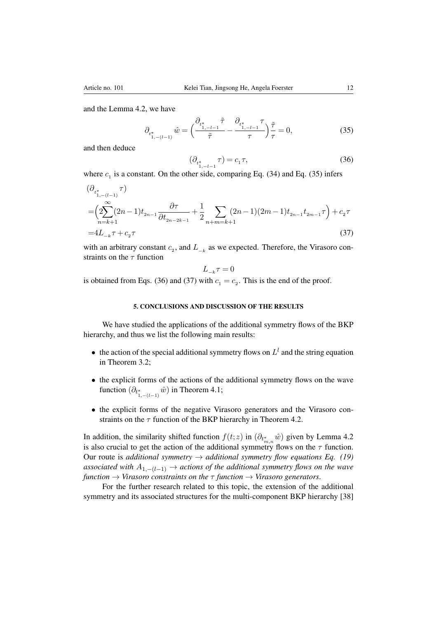and the Lemma 4.2, we have

$$
\partial_{t_{1,-(l-1)}^*} \hat{w} = \left(\frac{\partial_{t_{1,-l-1}^*} \tilde{\tau}}{\tilde{\tau}} - \frac{\partial_{t_{1,-l-1}^*} \tau}{\tau}\right) \frac{\tilde{\tau}}{\tau} = 0,\tag{35}
$$

and then deduce

$$
(\partial_{t_{1,-l-1}^*} \tau) = c_1 \tau,
$$
\n(36)

where  $c_1$  is a constant. On the other side, comparing Eq. (34) and Eq. (35) infers

$$
\begin{aligned} &\left(\partial_{t_{1,-(l-1)}^*} \tau\right) \\ &= \left(2 \sum_{n=k+1}^\infty (2n-1) t_{2n-1} \frac{\partial \tau}{\partial t_{2n-2k-1}} + \frac{1}{2} \sum_{n+m=k+1} (2n-1)(2m-1) t_{2n-1} t_{2m-1} \tau\right) + c_2 \tau \\ &= &4L_{-k} \tau + c_2 \tau \end{aligned} \tag{37}
$$

with an arbitrary constant  $c_2$ , and  $L_{-k}$  as we expected. Therefore, the Virasoro constraints on the  $\tau$  function

$$
L_{-\boldsymbol{k}}\tau=0
$$

is obtained from Eqs. (36) and (37) with  $c_1 = c_2$ . This is the end of the proof.

### 5. CONCLUSIONS AND DISCUSSION OF THE RESULTS

We have studied the applications of the additional symmetry flows of the BKP hierarchy, and thus we list the following main results:

- the action of the special additional symmetry flows on  $L^l$  and the string equation in Theorem 3.2;
- the explicit forms of the actions of the additional symmetry flows on the wave function  $(\partial_{t^*_{1,-(l-1)}}\hat{w})$  in Theorem 4.1;
- the explicit forms of the negative Virasoro generators and the Virasoro constraints on the  $\tau$  function of the BKP hierarchy in Theorem 4.2.

In addition, the similarity shifted function  $f(t; z)$  in  $(\partial_{t_{m,n}^*}\hat{w})$  given by Lemma 4.2 is also crucial to get the action of the additional symmetry flows on the  $\tau$  function. Our route is *additional symmetry*  $\rightarrow$  *additional symmetry flow equations Eq. (19) associated with*  $A_{1,-(l-1)} \rightarrow$  *actions of the additional symmetry flows on the wave function*  $\rightarrow$  *Virasoro constraints on the*  $\tau$  *function*  $\rightarrow$  *Virasoro generators.* 

For the further research related to this topic, the extension of the additional symmetry and its associated structures for the multi-component BKP hierarchy [38]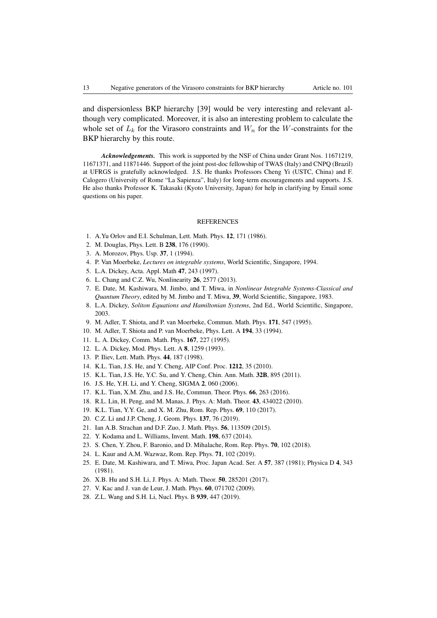and dispersionless BKP hierarchy [39] would be very interesting and relevant although very complicated. Moreover, it is also an interesting problem to calculate the whole set of  $L_k$  for the Virasoro constraints and  $W_n$  for the *W*-constraints for the BKP hierarchy by this route.

*Acknowledgements.* This work is supported by the NSF of China under Grant Nos. 11671219, 11671371, and 11871446. Support of the joint post-doc fellowship of TWAS (Italy) and CNPQ (Brazil) at UFRGS is gratefully acknowledged. J.S. He thanks Professors Cheng Yi (USTC, China) and F. Calogero (University of Rome "La Sapienza", Italy) for long-term encouragements and supports. J.S. He also thanks Professor K. Takasaki (Kyoto University, Japan) for help in clarifying by Email some questions on his paper.

#### **REFERENCES**

- 1. A.Yu Orlov and E.I. Schulman, Lett. Math. Phys. 12, 171 (1986).
- 2. M. Douglas, Phys. Lett. B 238, 176 (1990).
- 3. A. Morozov, Phys. Usp. 37, 1 (1994).
- 4. P. Van Moerbeke, *Lectures on integrable systems*, World Scientific, Singapore, 1994.
- 5. L.A. Dickey, Acta. Appl. Math 47, 243 (1997).
- 6. L. Chang and C.Z. Wu, Nonlinearity 26, 2577 (2013).
- 7. E. Date, M. Kashiwara, M. Jimbo, and T. Miwa, in *Nonlinear Integrable Systems-Classical and Quantum Theory*, edited by M. Jimbo and T. Miwa, 39, World Scientific, Singapore, 1983.
- 8. L.A. Dickey, *Soliton Equations and Hamiltonian Systems*, 2nd Ed., World Scientific, Singapore, 2003.
- 9. M. Adler, T. Shiota, and P. van Moerbeke, Commun. Math. Phys. 171, 547 (1995).
- 10. M. Adler, T. Shiota and P. van Moerbeke, Phys. Lett. A 194, 33 (1994).
- 11. L. A. Dickey, Comm. Math. Phys. 167, 227 (1995).
- 12. L. A. Dickey, Mod. Phys. Lett. A 8, 1259 (1993).
- 13. P. Iliev, Lett. Math. Phys. 44, 187 (1998).
- 14. K.L. Tian, J.S. He, and Y. Cheng, AIP Conf. Proc. 1212, 35 (2010).
- 15. K.L. Tian, J.S. He, Y.C. Su, and Y. Cheng, Chin. Ann. Math. 32B, 895 (2011).
- 16. J.S. He, Y.H. Li, and Y. Cheng, SIGMA 2, 060 (2006).
- 17. K.L. Tian, X.M. Zhu, and J.S. He, Commun. Theor. Phys. 66, 263 (2016).
- 18. R.L. Lin, H. Peng, and M. Manas, J. Phys. A: Math. Theor. 43, 434022 (2010).
- 19. K.L. Tian, Y.Y. Ge, and X. M. Zhu, Rom. Rep. Phys. 69, 110 (2017).
- 20. C.Z. Li and J.P. Cheng, J. Geom. Phys. 137, 76 (2019).
- 21. Ian A.B. Strachan and D.F. Zuo, J. Math. Phys. 56, 113509 (2015).
- 22. Y. Kodama and L. Williams, Invent. Math. 198, 637 (2014).
- 23. S. Chen, Y. Zhou, F. Baronio, and D. Mihalache, Rom. Rep. Phys. 70, 102 (2018).
- 24. L. Kaur and A.M. Wazwaz, Rom. Rep. Phys. 71, 102 (2019).
- 25. E. Date, M. Kashiwara, and T. Miwa, Proc. Japan Acad. Ser. A 57, 387 (1981); Physica D 4, 343 (1981).
- 26. X.B. Hu and S.H. Li, J. Phys. A: Math. Theor. 50, 285201 (2017).
- 27. V. Kac and J. van de Leur, J. Math. Phys. 60, 071702 (2009).
- 28. Z.L. Wang and S.H. Li, Nucl. Phys. B 939, 447 (2019).